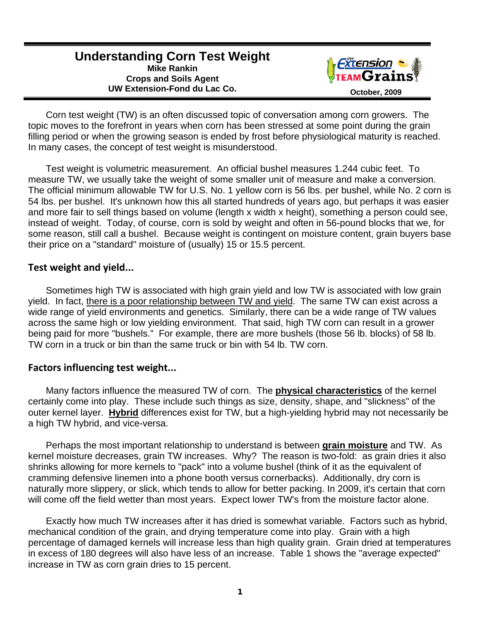# **Understanding Corn Test Weight Mike Rankin Crops and Soils Agent**  UW Extension-Fond du Lac Co. **Department Controllery Controllery October, 2009**



 Corn test weight (TW) is an often discussed topic of conversation among corn growers. The topic moves to the forefront in years when corn has been stressed at some point during the grain filling period or when the growing season is ended by frost before physiological maturity is reached. In many cases, the concept of test weight is misunderstood.

 Test weight is volumetric measurement. An official bushel measures 1.244 cubic feet. To measure TW, we usually take the weight of some smaller unit of measure and make a conversion. The official minimum allowable TW for U.S. No. 1 yellow corn is 56 lbs. per bushel, while No. 2 corn is 54 lbs. per bushel. It's unknown how this all started hundreds of years ago, but perhaps it was easier and more fair to sell things based on volume (length x width x height), something a person could see, instead of weight. Today, of course, corn is sold by weight and often in 56-pound blocks that we, for some reason, still call a bushel. Because weight is contingent on moisture content, grain buyers base their price on a "standard" moisture of (usually) 15 or 15.5 percent.

#### **Test weight and yield...**

 Sometimes high TW is associated with high grain yield and low TW is associated with low grain yield. In fact, there is a poor relationship between TW and yield. The same TW can exist across a wide range of yield environments and genetics. Similarly, there can be a wide range of TW values across the same high or low yielding environment. That said, high TW corn can result in a grower being paid for more "bushels." For example, there are more bushels (those 56 lb. blocks) of 58 lb. TW corn in a truck or bin than the same truck or bin with 54 lb. TW corn.

## **Factors influencing test weight...**

 Many factors influence the measured TW of corn. The **physical characteristics** of the kernel certainly come into play. These include such things as size, density, shape, and "slickness" of the outer kernel layer. **Hybrid** differences exist for TW, but a high-yielding hybrid may not necessarily be a high TW hybrid, and vice-versa.

 Perhaps the most important relationship to understand is between **grain moisture** and TW. As kernel moisture decreases, grain TW increases. Why? The reason is two-fold: as grain dries it also shrinks allowing for more kernels to "pack" into a volume bushel (think of it as the equivalent of cramming defensive linemen into a phone booth versus cornerbacks). Additionally, dry corn is naturally more slippery, or slick, which tends to allow for better packing. In 2009, it's certain that corn will come off the field wetter than most years. Expect lower TW's from the moisture factor alone.

 Exactly how much TW increases after it has dried is somewhat variable. Factors such as hybrid, mechanical condition of the grain, and drying temperature come into play. Grain with a high percentage of damaged kernels will increase less than high quality grain. Grain dried at temperatures in excess of 180 degrees will also have less of an increase. Table 1 shows the "average expected" increase in TW as corn grain dries to 15 percent.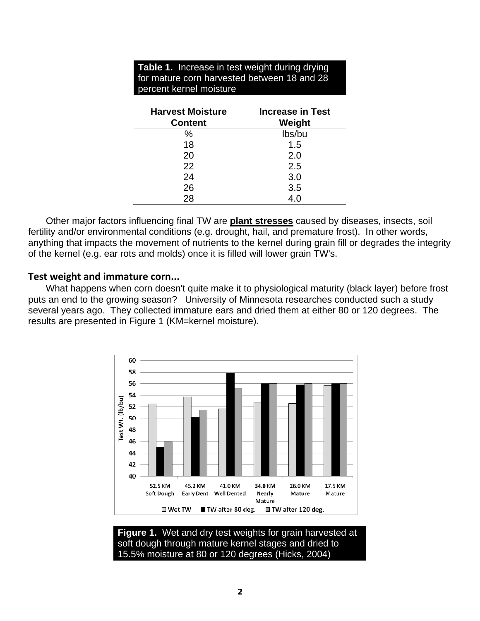| <b>Table 1.</b> Increase in test weight during drying<br>for mature corn harvested between 18 and 28<br>percent kernel moisture |                                   |
|---------------------------------------------------------------------------------------------------------------------------------|-----------------------------------|
| <b>Harvest Moisture</b><br><b>Content</b>                                                                                       | <b>Increase in Test</b><br>Weight |
| $\%$                                                                                                                            | lbs/bu                            |
| 18                                                                                                                              | 1.5                               |
| 20                                                                                                                              | 2.0                               |
| 22                                                                                                                              | 2.5                               |
| 24                                                                                                                              | 3.0                               |
| 26                                                                                                                              | 3.5                               |
| 28                                                                                                                              | 4.0                               |

 Other major factors influencing final TW are **plant stresses** caused by diseases, insects, soil fertility and/or environmental conditions (e.g. drought, hail, and premature frost). In other words, anything that impacts the movement of nutrients to the kernel during grain fill or degrades the integrity of the kernel (e.g. ear rots and molds) once it is filled will lower grain TW's.

#### **Test weight and immature corn...**

 What happens when corn doesn't quite make it to physiological maturity (black layer) before frost puts an end to the growing season? University of Minnesota researches conducted such a study several years ago. They collected immature ears and dried them at either 80 or 120 degrees. The results are presented in Figure 1 (KM=kernel moisture).



**Figure 1.** Wet and dry test weights for grain harvested at soft dough through mature kernel stages and dried to 15.5% moisture at 80 or 120 degrees (Hicks, 2004)